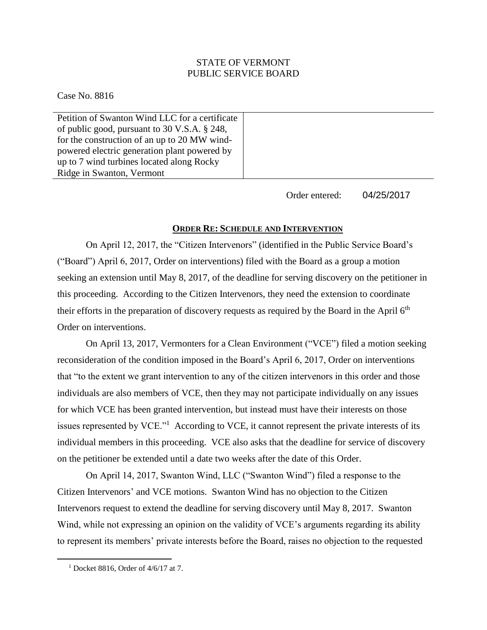## STATE OF VERMONT PUBLIC SERVICE BOARD

Case No. 8816

Petition of Swanton Wind LLC for a certificate of public good, pursuant to 30 V.S.A. § 248, for the construction of an up to 20 MW windpowered electric generation plant powered by up to 7 wind turbines located along Rocky Ridge in Swanton, Vermont

> Order entered: 04/25/2017

## **ORDER RE: SCHEDULE AND INTERVENTION**

On April 12, 2017, the "Citizen Intervenors" (identified in the Public Service Board's ("Board") April 6, 2017, Order on interventions) filed with the Board as a group a motion seeking an extension until May 8, 2017, of the deadline for serving discovery on the petitioner in this proceeding. According to the Citizen Intervenors, they need the extension to coordinate their efforts in the preparation of discovery requests as required by the Board in the April 6<sup>th</sup> Order on interventions.

On April 13, 2017, Vermonters for a Clean Environment ("VCE") filed a motion seeking reconsideration of the condition imposed in the Board's April 6, 2017, Order on interventions that "to the extent we grant intervention to any of the citizen intervenors in this order and those individuals are also members of VCE, then they may not participate individually on any issues for which VCE has been granted intervention, but instead must have their interests on those issues represented by VCE."<sup>1</sup> According to VCE, it cannot represent the private interests of its individual members in this proceeding. VCE also asks that the deadline for service of discovery on the petitioner be extended until a date two weeks after the date of this Order.

On April 14, 2017, Swanton Wind, LLC ("Swanton Wind") filed a response to the Citizen Intervenors' and VCE motions. Swanton Wind has no objection to the Citizen Intervenors request to extend the deadline for serving discovery until May 8, 2017. Swanton Wind, while not expressing an opinion on the validity of VCE's arguments regarding its ability to represent its members' private interests before the Board, raises no objection to the requested

 $\overline{a}$ 

 $1$  Docket 8816, Order of 4/6/17 at 7.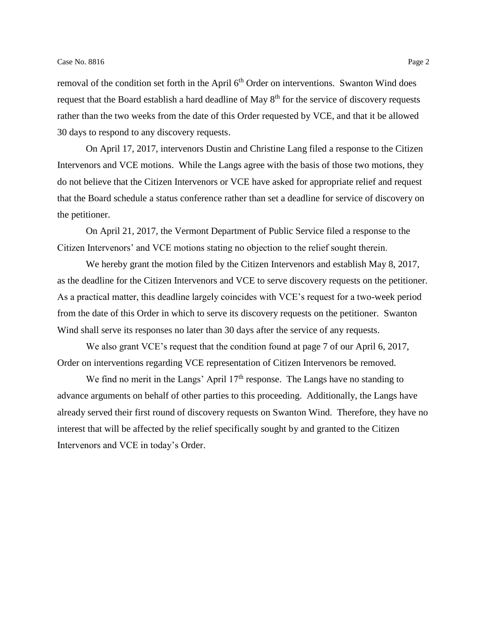removal of the condition set forth in the April 6<sup>th</sup> Order on interventions. Swanton Wind does request that the Board establish a hard deadline of May 8<sup>th</sup> for the service of discovery requests rather than the two weeks from the date of this Order requested by VCE, and that it be allowed 30 days to respond to any discovery requests.

On April 17, 2017, intervenors Dustin and Christine Lang filed a response to the Citizen Intervenors and VCE motions. While the Langs agree with the basis of those two motions, they do not believe that the Citizen Intervenors or VCE have asked for appropriate relief and request that the Board schedule a status conference rather than set a deadline for service of discovery on the petitioner.

On April 21, 2017, the Vermont Department of Public Service filed a response to the Citizen Intervenors' and VCE motions stating no objection to the relief sought therein.

We hereby grant the motion filed by the Citizen Intervenors and establish May 8, 2017, as the deadline for the Citizen Intervenors and VCE to serve discovery requests on the petitioner. As a practical matter, this deadline largely coincides with VCE's request for a two-week period from the date of this Order in which to serve its discovery requests on the petitioner. Swanton Wind shall serve its responses no later than 30 days after the service of any requests.

We also grant VCE's request that the condition found at page 7 of our April 6, 2017, Order on interventions regarding VCE representation of Citizen Intervenors be removed.

We find no merit in the Langs' April  $17<sup>th</sup>$  response. The Langs have no standing to advance arguments on behalf of other parties to this proceeding. Additionally, the Langs have already served their first round of discovery requests on Swanton Wind. Therefore, they have no interest that will be affected by the relief specifically sought by and granted to the Citizen Intervenors and VCE in today's Order.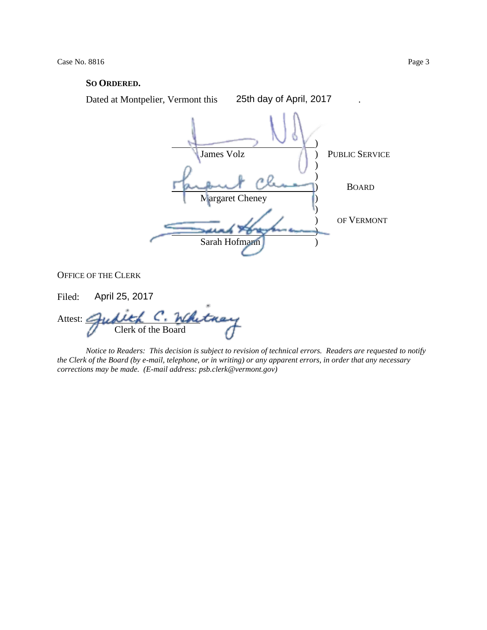## **SO ORDERED.**



OFFICE OF THE CLERK

Filed: April 25, 2017

Attest:  $\angle$ Clerk of the Board

*Notice to Readers: This decision is subject to revision of technical errors. Readers are requested to notify the Clerk of the Board (by e-mail, telephone, or in writing) or any apparent errors, in order that any necessary corrections may be made. (E-mail address: psb.clerk@vermont.gov)*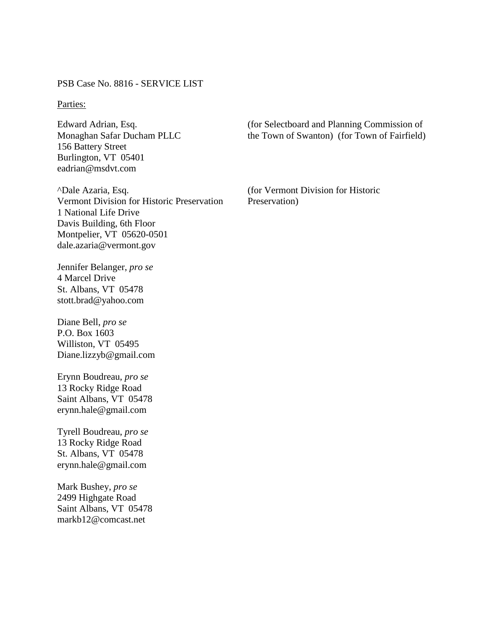PSB Case No. 8816 - SERVICE LIST

## Parties:

Edward Adrian, Esq. Monaghan Safar Ducham PLLC 156 Battery Street Burlington, VT 05401 eadrian@msdvt.com

^Dale Azaria, Esq. Vermont Division for Historic Preservation 1 National Life Drive Davis Building, 6th Floor Montpelier, VT 05620-0501 dale.azaria@vermont.gov

Jennifer Belanger, *pro se* 4 Marcel Drive St. Albans, VT 05478 stott.brad@yahoo.com

Diane Bell, *pro se* P.O. Box 1603 Williston, VT 05495 Diane.lizzyb@gmail.com

Erynn Boudreau, *pro se* 13 Rocky Ridge Road Saint Albans, VT 05478 erynn.hale@gmail.com

Tyrell Boudreau, *pro se* 13 Rocky Ridge Road St. Albans, VT 05478 erynn.hale@gmail.com

Mark Bushey, *pro se* 2499 Highgate Road Saint Albans, VT 05478 markb12@comcast.net

(for Selectboard and Planning Commission of the Town of Swanton) (for Town of Fairfield)

(for Vermont Division for Historic Preservation)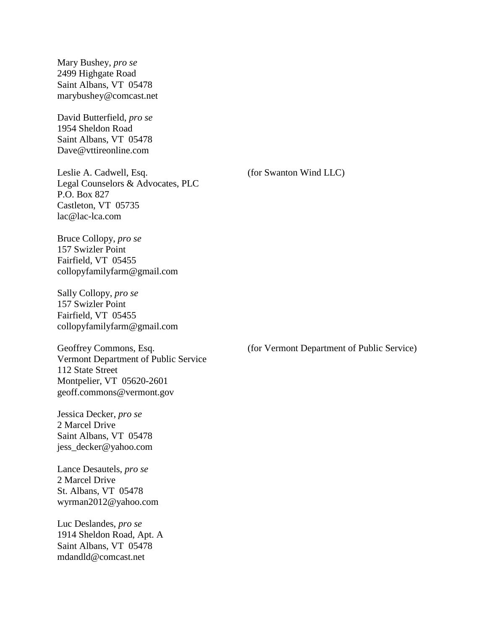Mary Bushey, *pro se* 2499 Highgate Road Saint Albans, VT 05478 marybushey@comcast.net

David Butterfield, *pro se* 1954 Sheldon Road Saint Albans, VT 05478 Dave@vttireonline.com

Leslie A. Cadwell, Esq. Legal Counselors & Advocates, PLC P.O. Box 827 Castleton, VT 05735 lac@lac-lca.com

Bruce Collopy, *pro se* 157 Swizler Point Fairfield, VT 05455 collopyfamilyfarm@gmail.com

Sally Collopy, *pro se* 157 Swizler Point Fairfield, VT 05455 collopyfamilyfarm@gmail.com

Geoffrey Commons, Esq. Vermont Department of Public Service 112 State Street Montpelier, VT 05620-2601 geoff.commons@vermont.gov

Jessica Decker, *pro se* 2 Marcel Drive Saint Albans, VT 05478 jess\_decker@yahoo.com

Lance Desautels, *pro se* 2 Marcel Drive St. Albans, VT 05478 wyrman2012@yahoo.com

Luc Deslandes, *pro se* 1914 Sheldon Road, Apt. A Saint Albans, VT 05478 mdandld@comcast.net

(for Swanton Wind LLC)

(for Vermont Department of Public Service)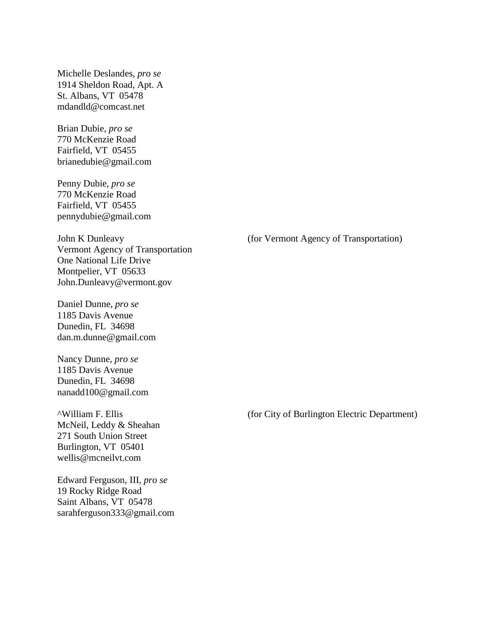Michelle Deslandes, *pro se* 1914 Sheldon Road, Apt. A St. Albans, VT 05478 mdandld@comcast.net

Brian Dubie, *pro se* 770 McKenzie Road Fairfield, VT 05455 brianedubie@gmail.com

Penny Dubie, *pro se* 770 McKenzie Road Fairfield, VT 05455 pennydubie@gmail.com

John K Dunleavy Vermont Agency of Transportation One National Life Drive Montpelier, VT 05633 John.Dunleavy@vermont.gov

Daniel Dunne, *pro se* 1185 Davis Avenue Dunedin, FL 34698 dan.m.dunne@gmail.com

Nancy Dunne, *pro se* 1185 Davis Avenue Dunedin, FL 34698 nanadd100@gmail.com

^William F. Ellis McNeil, Leddy & Sheahan 271 South Union Street Burlington, VT 05401 wellis@mcneilvt.com

Edward Ferguson, III, *pro se* 19 Rocky Ridge Road Saint Albans, VT 05478 sarahferguson333@gmail.com (for Vermont Agency of Transportation)

(for City of Burlington Electric Department)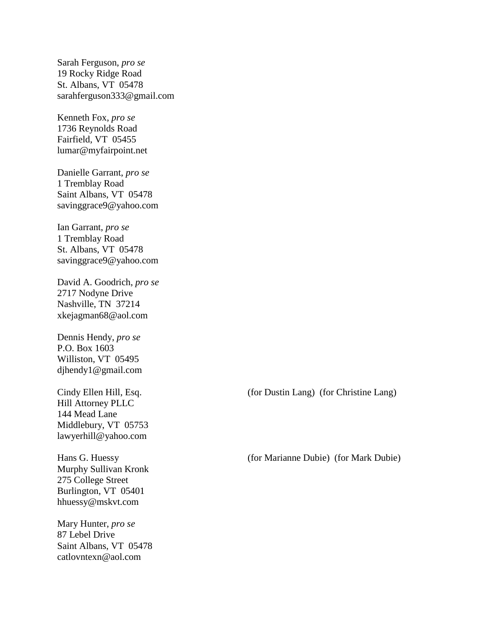Sarah Ferguson, *pro se* 19 Rocky Ridge Road St. Albans, VT 05478 sarahferguson333@gmail.com

Kenneth Fox, *pro se* 1736 Reynolds Road Fairfield, VT 05455 lumar@myfairpoint.net

Danielle Garrant, *pro se* 1 Tremblay Road Saint Albans, VT 05478 savinggrace9@yahoo.com

Ian Garrant, *pro se* 1 Tremblay Road St. Albans, VT 05478 savinggrace9@yahoo.com

David A. Goodrich, *pro se* 2717 Nodyne Drive Nashville, TN 37214 xkejagman68@aol.com

Dennis Hendy, *pro se* P.O. Box 1603 Williston, VT 05495 djhendy1@gmail.com

Cindy Ellen Hill, Esq. Hill Attorney PLLC 144 Mead Lane Middlebury, VT 05753 lawyerhill@yahoo.com

Hans G. Huessy Murphy Sullivan Kronk 275 College Street Burlington, VT 05401 hhuessy@mskvt.com

Mary Hunter, *pro se* 87 Lebel Drive Saint Albans, VT 05478 catlovntexn@aol.com

(for Dustin Lang) (for Christine Lang)

(for Marianne Dubie) (for Mark Dubie)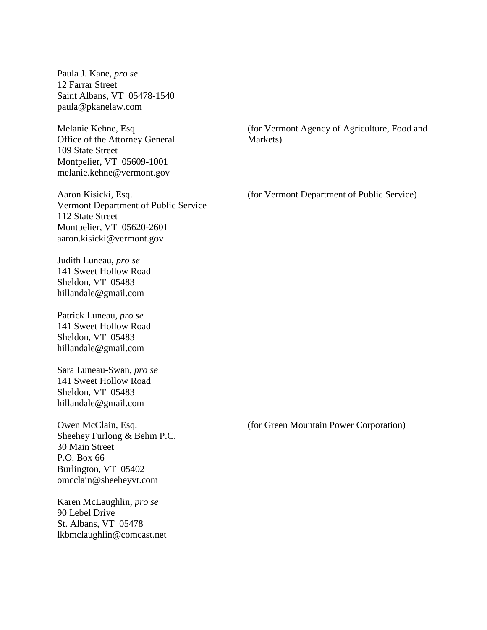Paula J. Kane, *pro se* 12 Farrar Street Saint Albans, VT 05478-1540 paula@pkanelaw.com

Melanie Kehne, Esq. Office of the Attorney General 109 State Street Montpelier, VT 05609-1001 melanie.kehne@vermont.gov

Aaron Kisicki, Esq. Vermont Department of Public Service 112 State Street Montpelier, VT 05620-2601 aaron.kisicki@vermont.gov

Judith Luneau, *pro se* 141 Sweet Hollow Road Sheldon, VT 05483 hillandale@gmail.com

Patrick Luneau, *pro se* 141 Sweet Hollow Road Sheldon, VT 05483 hillandale@gmail.com

Sara Luneau-Swan, *pro se* 141 Sweet Hollow Road Sheldon, VT 05483 hillandale@gmail.com

Owen McClain, Esq. Sheehey Furlong & Behm P.C. 30 Main Street P.O. Box 66 Burlington, VT 05402 omcclain@sheeheyvt.com

Karen McLaughlin, *pro se* 90 Lebel Drive St. Albans, VT 05478 lkbmclaughlin@comcast.net (for Vermont Agency of Agriculture, Food and Markets)

(for Vermont Department of Public Service)

(for Green Mountain Power Corporation)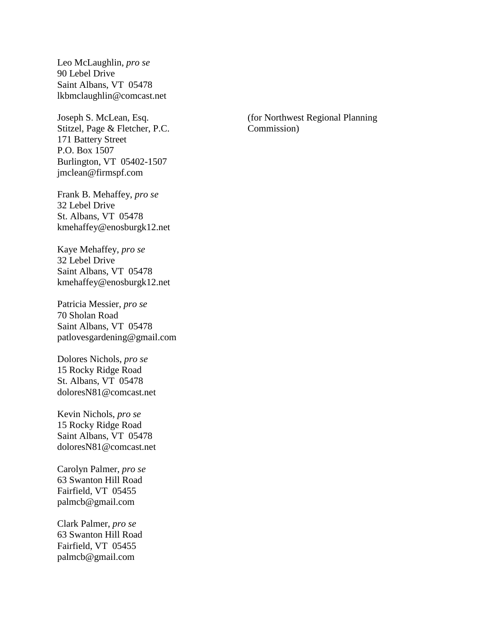Leo McLaughlin, *pro se* 90 Lebel Drive Saint Albans, VT 05478 lkbmclaughlin@comcast.net

Joseph S. McLean, Esq. Stitzel, Page & Fletcher, P.C. 171 Battery Street P.O. Box 1507 Burlington, VT 05402-1507 jmclean@firmspf.com

Frank B. Mehaffey, *pro se* 32 Lebel Drive St. Albans, VT 05478 kmehaffey@enosburgk12.net

Kaye Mehaffey, *pro se* 32 Lebel Drive Saint Albans, VT 05478 kmehaffey@enosburgk12.net

Patricia Messier, *pro se* 70 Sholan Road Saint Albans, VT 05478 patlovesgardening@gmail.com

Dolores Nichols, *pro se* 15 Rocky Ridge Road St. Albans, VT 05478 doloresN81@comcast.net

Kevin Nichols, *pro se* 15 Rocky Ridge Road Saint Albans, VT 05478 doloresN81@comcast.net

Carolyn Palmer, *pro se* 63 Swanton Hill Road Fairfield, VT 05455 palmcb@gmail.com

Clark Palmer, *pro se* 63 Swanton Hill Road Fairfield, VT 05455 palmcb@gmail.com

(for Northwest Regional Planning Commission)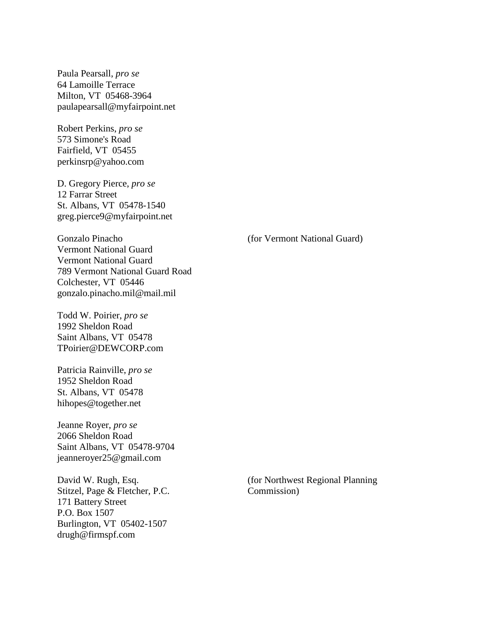Paula Pearsall, *pro se* 64 Lamoille Terrace Milton, VT 05468-3964 paulapearsall@myfairpoint.net

Robert Perkins, *pro se* 573 Simone's Road Fairfield, VT 05455 perkinsrp@yahoo.com

D. Gregory Pierce, *pro se* 12 Farrar Street St. Albans, VT 05478-1540 greg.pierce9@myfairpoint.net

Gonzalo Pinacho Vermont National Guard Vermont National Guard 789 Vermont National Guard Road Colchester, VT 05446 gonzalo.pinacho.mil@mail.mil

Todd W. Poirier, *pro se* 1992 Sheldon Road Saint Albans, VT 05478 TPoirier@DEWCORP.com

Patricia Rainville, *pro se* 1952 Sheldon Road St. Albans, VT 05478 hihopes@together.net

Jeanne Royer, *pro se* 2066 Sheldon Road Saint Albans, VT 05478-9704 jeanneroyer25@gmail.com

David W. Rugh, Esq. Stitzel, Page & Fletcher, P.C. 171 Battery Street P.O. Box 1507 Burlington, VT 05402-1507 drugh@firmspf.com

(for Vermont National Guard)

(for Northwest Regional Planning Commission)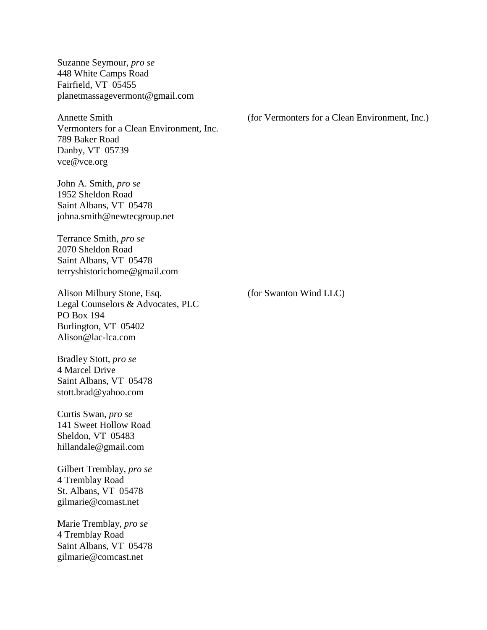Suzanne Seymour, *pro se* 448 White Camps Road Fairfield, VT 05455 planetmassagevermont@gmail.com

Annette Smith Vermonters for a Clean Environment, Inc. 789 Baker Road Danby, VT 05739 vce@vce.org

John A. Smith, *pro se* 1952 Sheldon Road Saint Albans, VT 05478 johna.smith@newtecgroup.net

Terrance Smith, *pro se* 2070 Sheldon Road Saint Albans, VT 05478 terryshistorichome@gmail.com

Alison Milbury Stone, Esq. Legal Counselors & Advocates, PLC PO Box 194 Burlington, VT 05402 Alison@lac-lca.com

Bradley Stott, *pro se* 4 Marcel Drive Saint Albans, VT 05478 stott.brad@yahoo.com

Curtis Swan, *pro se* 141 Sweet Hollow Road Sheldon, VT 05483 hillandale@gmail.com

Gilbert Tremblay, *pro se* 4 Tremblay Road St. Albans, VT 05478 gilmarie@comast.net

Marie Tremblay, *pro se* 4 Tremblay Road Saint Albans, VT 05478 gilmarie@comcast.net

(for Vermonters for a Clean Environment, Inc.)

(for Swanton Wind LLC)